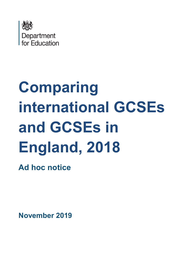

# **Comparing international GCSEs and GCSEs in England, 2018**

**Ad hoc notice**

**November 2019**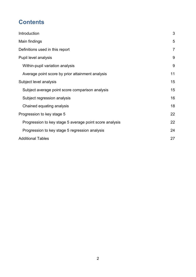# **Contents**

| Introduction                                            | 3              |
|---------------------------------------------------------|----------------|
| Main findings                                           | 5              |
| Definitions used in this report                         | $\overline{7}$ |
| Pupil level analysis                                    | 9              |
| Within-pupil variation analysis                         | 9              |
| Average point score by prior attainment analysis        | 11             |
| Subject level analysis                                  | 15             |
| Subject average point score comparison analysis         | 15             |
| Subject regression analysis                             | 16             |
| Chained equating analysis                               | 18             |
| Progression to key stage 5                              | 22             |
| Progression to key stage 5 average point score analysis | 22             |
| Progression to key stage 5 regression analysis          | 24             |
| <b>Additional Tables</b>                                | 27             |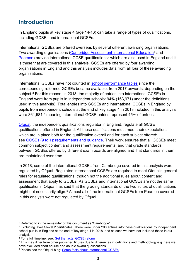# <span id="page-2-0"></span>**Introduction**

In England pupils at key stage 4 (age 14-16) can take a range of types of qualifications, including GCSEs and international GCSEs.

International GCSEs are offered overseas by several different awarding organisations. Two awarding organisations [\(Cambridge Assessment International Education](https://www.cambridgeinternational.org/)<sup>[1](#page-2-1)</sup> and [Pearson\)](https://qualifications.pearson.com/en/home.html) provide international GCSE qualifications<sup>2</sup> which are also used in England and it is these that are covered in this analysis. GCSEs are offered by four awarding organisations in England and this analysis includes data from all four of these awarding organisations.

International GCSEs have not counted in [school performance tables](https://www.gov.uk/school-performance-tables) since the corresponding reformed GCSEs became available, from 2017 onwards, depending on the subject. $3$  For this reason, in 2018, the majority of entries into international GCSEs in England were from pupils in independent schools: 94% (163,971) under the definitions used in this analysis). Total entries into GCSEs and international GCSEs in England by pupils from independent schools at the end of key stage 4 in 2018 included in this analysis were 361,581,<sup>[4](#page-2-4)</sup> meaning international GCSE entries represent 45% of entries.

[Ofqual,](https://www.gov.uk/government/organisations/ofqual/about) the independent qualifications regulator in England, regulate all GCSE qualifications offered in England. All these qualifications must meet their expectations which are in place both for the qualification overall and for each subject offered: see [GCSEs \(9 to 1\): requirements and guidance.](https://www.gov.uk/government/collections/gcses-9-to-1-requirements-and-guidance) Their work ensures that all GCSEs meet common subject content and assessment requirements, and that grade standards between GCSEs offered by different exam boards are aligned and that standards in them are maintained over time.

In 2018, some of the international GCSEs from Cambridge covered in this analysis were regulated by Ofqual. Regulated international GCSEs are required to meet Ofqual's general rules for regulated qualifications, though not the additional rules about content and assessment that apply to GCSEs. As GCSEs and international GCSEs are not the same qualifications, Ofqual has said that the grading standards of the two suites of qualifications might not necessarily align.<sup>[5](#page-2-5)</sup> Almost all of the international GCSEs from Pearson covered in this analysis were not regulated by Ofqual.

<span id="page-2-1"></span><sup>&</sup>lt;sup>1</sup> Referred to in the remainder of this document as 'Cambridge'

<span id="page-2-2"></span><sup>2</sup> Excluding level 1/level 2 certificates. There were under 200 entries into these qualifications by independent school pupils in England at the end of key stage 4 in 2018, and as such we have not included these in our analysis.

<span id="page-2-3"></span><sup>&</sup>lt;sup>3</sup> For a full timeline, see: **Get the facts: GCSE reform** 

<span id="page-2-4"></span><sup>4</sup> This may differ from other published figures due to differences in definitions and methodology e.g. here we have excluded short course and double award qualifications

<span id="page-2-5"></span><sup>5</sup> Please see the Ofqual blog: [Some facts about International GCSEs](https://ofqual.blog.gov.uk/2019/04/04/some-facts-about-international-gcses/)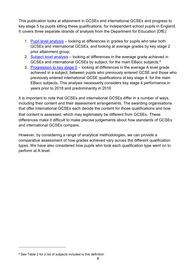This publication looks at attainment in GCSEs and international GCSEs and progress to key stage 5 by pupils sitting these qualifications, for independent school pupils in England. It covers three separate strands of analysis from the Department for Education (DfE):

- 1. [Pupil level analysis](#page-7-0)  looking at differences in grades for pupils who take both GCSEs and international GCSEs, and looking at average grades by key stage 2 prior attainment group;
- 2. [Subject level analysis](#page-14-0)  looking at differences in the average grade achieved in GCSEs and international GCSEs by subject, for the main EBacc subjects; [6](#page-3-0)
- 3. [Progression to key stage 5](#page-21-2)  looking at differences in the average A level grade achieved in a subject, between pupils who previously entered GCSE and those who previously entered international GCSE qualifications at key stage 4, for the main EBacc subjects. This analysis necessarily considers key stage 4 performance in years prior to 2018 and predominantly in 2016

It is important to note that GCSEs and international GCSEs differ in a number of ways, including their content and their assessment arrangements. The awarding organisations that offer international GCSEs each decide the content for those qualifications and how that content is assessed, which may legitimately be different from GCSEs. These differences make it difficult to make precise judgements about how standards of GCSEs and international GCSEs compare.

However, by considering a range of analytical methodologies, we can provide a comparative assessment of how grades achieved vary across the different qualification types. We have also considered how pupils who took each qualification type went on to perform at A level.

<u>.</u>

<span id="page-3-0"></span><sup>&</sup>lt;sup>6</sup> See Table 2 for a list of subjects included is this definition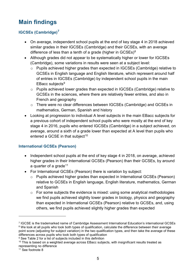# <span id="page-4-0"></span>**Main findings**

## **IGCSEs (Cambridge)[7](#page-4-1)**

- On average, independent school pupils at the end of key stage 4 in 2018 achieved similar grades in their IGCSEs (Cambridge) and their GCSEs, with an average difference of less than a tenth of a grade (higher in GCSEs)<sup>8</sup>
- Although grades did not appear to be systematically higher or lower for IGCSEs (Cambridge), some variations in results were seen at a subject level:
	- o Pupils achieved higher grades than expected in IGCSEs (Cambridge) relative to GCSEs in English language and English literature, which represent around half of entries in IGCSEs (Cambridge) by independent school pupils in the main EBacc subjects<sup>[9](#page-4-3)</sup>
	- o Pupils achieved lower grades than expected in IGCSEs (Cambridge) relative to GCSEs in the sciences, where there are relatively fewer entries, and also in French and geography
	- o There were no clear differences between IGCSEs (Cambridge) and GCSEs in mathematics, German, Spanish and history
- Looking at progression to individual A level subjects in the main EBacc subjects for a previous cohort of independent school pupils who were mostly at the end of key stage 4 in 2016, pupils who entered IGCSEs (Cambridge) in a subject achieved, on average, around a sixth of a grade lower than expected at A level than pupils who entered a GCSE in that subject<sup>[10](#page-4-4)</sup>

## **International GCSEs (Pearson)**

- Independent school pupils at the end of key stage 4 in 2018, on average, achieved higher grades in their International GCSEs (Pearson) than their GCSEs, by around a quarter of a grade<sup>[11](#page-4-5)</sup>
- For International GCSEs (Pearson) there is variation by subject:
	- o Pupils achieved higher grades than expected in International GCSEs (Pearson) relative to GCSEs in English language, English literature, mathematics, German and Spanish
	- o For some subjects the evidence is mixed: using some analytical methodologies we find pupils achieved slightly lower grades in biology, physics and geography than expected in International GCSEs (Pearson) relative to GCSEs, and, using others, we find pupils achieved slightly higher grades than expected

<span id="page-4-2"></span><span id="page-4-1"></span><sup>7</sup> IGCSE is the trademarked name of Cambridge Assessment International Education's international GCSEs <sup>8</sup> We look at all pupils who took both types of qualification, calculate the difference between their average point score (adjusting for subject variation) in the two qualification types, and then take the average of these differences across pupils who took both types of qualification

<span id="page-4-3"></span><sup>&</sup>lt;sup>9</sup> See Table 2 for a list of subjects included in this definition

<span id="page-4-4"></span><sup>&</sup>lt;sup>10</sup> This is based on a weighted average across EBacc subjects, with insignificant results treated as representing no difference

<span id="page-4-5"></span><sup>&</sup>lt;sup>11</sup> See footnote 8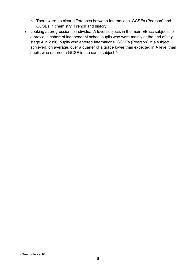- o There were no clear differences between International GCSEs (Pearson) and GCSEs in chemistry, French and history
- Looking at progression to individual A level subjects in the main EBacc subjects for a previous cohort of independent school pupils who were mostly at the end of key stage 4 in 2016: pupils who entered International GCSEs (Pearson) in a subject achieved, on average, over a quarter of a grade lower than expected in A level than pupils who entered a GCSE in the same subject.<sup>12</sup>

<u>.</u>

<span id="page-5-0"></span><sup>12</sup> See footnote 10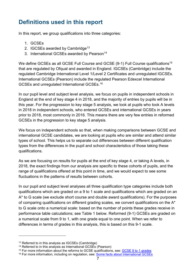# <span id="page-6-0"></span>**Definitions used in this report**

In this report, we group qualifications into three categories:

- 1. GCSEs
- 2. IGCSEs awarded by Cambridge<sup>13</sup>
- 3. International GCSEs awarded by Pearson<sup>14</sup>

We define GCSEs as all GCSE Full Course and GCSE (9-1) Full Course qualifications<sup>[15](#page-6-3)</sup> that are regulated by Ofqual and awarded in England. IGCSEs (Cambridge) include the regulated Cambridge International Level 1/Level 2 Certificates and unregulated IGCSEs. International GCSEs (Pearson) include the regulated Pearson Edexcel International GCSEs and unregulated International GCSEs.[16](#page-6-4)

In our pupil level and subject level analysis, we focus on pupils in independent schools in England at the end of key stage 4 in 2018, and the majority of entries by pupils will be in this year. For the progression to key stage 5 analysis, we look at pupils who took A levels in 2018 in independent schools, who entered GCSEs and international GCSEs in years prior to 2018, most commonly in 2016. This means there are very few entries in reformed GCSEs in the progression to key stage 5 analysis.

We focus on independent schools so that, when making comparisons between GCSE and international GCSE candidates, we are looking at pupils who are similar and attend similar types of school. This helps us to separate out differences between different qualification types from the differences in the pupil and school characteristics of those taking these qualifications.

As we are focusing on results for pupils at the end of key stage 4, or taking A levels, in 2018, the exact findings from our analysis are specific to these cohorts of pupils, and the range of qualifications offered at this point in time, and we would expect to see some fluctuations in the patterns of results between cohorts.

In our pupil and subject level analyses all three qualification type categories include both qualifications which are graded on a 9 to 1 scale and qualifications which are graded on an A\* to G scale (we exclude short course and double award qualifications). For the purposes of comparing qualifications on different grading scales, we convert qualifications on the A\* to G scale onto a numerical scale: based on the number of points these grades receive in performance table calculations; see Table 1 below. Reformed (9-1) GCSEs are graded on a numerical scale from 9 to 1, with one grade equal to one point. When we refer to differences in terms of grades in this analysis, this is based on this 9-1 scale.

<u>.</u>

<span id="page-6-1"></span><sup>13</sup> Referred to in this analysis as IGCSEs (Cambridge)

<span id="page-6-2"></span><sup>&</sup>lt;sup>14</sup> Referred to in this analysis as International GCSEs (Pearson)

<span id="page-6-3"></span><sup>&</sup>lt;sup>15</sup> For more information about the reforms to GCSE qualifications, see: [GCSE 9 to 1 grades](https://www.gov.uk/government/news/new-gcse-9-to-1-grades-coming-soon)

<span id="page-6-4"></span><sup>&</sup>lt;sup>16</sup> For more information, including on regulation, see: [Some facts about International GCSEs](https://ofqual.blog.gov.uk/2019/04/04/some-facts-about-international-gcses/)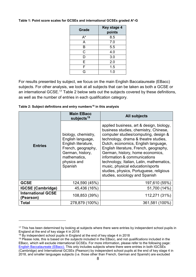| Grade | Key stage 4<br>points |
|-------|-----------------------|
| $A^*$ | 8.5                   |
| A     | 7.0                   |
| B     | 5.5                   |
| C     | 4.0                   |
| D     | 3.0                   |
| E     | 2.0                   |
| F     | 1.5                   |
| G     | 1.0                   |

#### <span id="page-7-0"></span>**Table 1: Point score scales for GCSEs and international GCSEs graded A\*-G**

For results presented by subject, we focus on the main English Baccalaureate (EBacc) subjects. For other analysis, we look at all subjects that can be taken as both a GCSE or an international GCSE.[17](#page-7-1) Table 2 below sets out the subjects covered by these definitions, as well as the number of entries in each qualification category.

|                                        | <b>Main EBacc</b><br>subjects <sup>19</sup>                                                                                                         | <b>All subjects</b>                                                                                                                                                                                                                                                                                                                                                                                                                                                                 |
|----------------------------------------|-----------------------------------------------------------------------------------------------------------------------------------------------------|-------------------------------------------------------------------------------------------------------------------------------------------------------------------------------------------------------------------------------------------------------------------------------------------------------------------------------------------------------------------------------------------------------------------------------------------------------------------------------------|
| <b>Entries</b>                         | biology, chemistry,<br>English language,<br>English literature,<br>French, geography,<br>German, history,<br>mathematics,<br>physics and<br>Spanish | applied business, art & design, biology,<br>business studies, chemistry, Chinese,<br>computer studies/computing, design &<br>technology, drama & theatre studies,<br>Dutch, economics, English language,<br>English literature, French, geography,<br>German, history, home economics,<br>information & communications<br>technology, Italian, Latin, mathematics,<br>music, physical education/sports<br>studies, physics, Portuguese, religious<br>studies, sociology and Spanish |
| <b>GCSE</b>                            | 124,590 (45%)                                                                                                                                       | 197,610 (55%)                                                                                                                                                                                                                                                                                                                                                                                                                                                                       |
| <b>IGCSE (Cambridge)</b>               | 45,436 (16%)                                                                                                                                        | 51,700 (14%)                                                                                                                                                                                                                                                                                                                                                                                                                                                                        |
| <b>International GCSE</b><br>(Pearson) | 108,853 (39%)                                                                                                                                       | 112,271 (31%)                                                                                                                                                                                                                                                                                                                                                                                                                                                                       |
| Total                                  | 278,879 (100%)                                                                                                                                      | 361,581 (100%)                                                                                                                                                                                                                                                                                                                                                                                                                                                                      |

| Table 2: Subject definitions and entry numbers <sup>18</sup> in this analysis |  |  |  |  |  |
|-------------------------------------------------------------------------------|--|--|--|--|--|
|-------------------------------------------------------------------------------|--|--|--|--|--|

<span id="page-7-1"></span><sup>&</sup>lt;sup>17</sup> This has been determined by looking at subjects where there were entries by independent school pupils in England at the end of key stage 4 in 2018

<span id="page-7-2"></span><sup>&</sup>lt;sup>18</sup> By independent school pupils in England at the end of key stage 4 in 2018

<span id="page-7-3"></span><sup>19</sup> Please note, this is based on the *subjects* included in the EBacc, and not *qualifications* included in the EBacc, which will exclude international GCSEs. For more information, please refer to the following page: English Baccalaureate (EBacc). [This only includes subjects where there were entries in both IGCSEs](https://www.gov.uk/government/publications/english-baccalaureate-ebacc/english-baccalaureate-ebacc)  [\(Cambridge\) and International GCSEs \(Pearson\) by independent school pupils at the end of key stage 4 in](https://www.gov.uk/government/publications/english-baccalaureate-ebacc/english-baccalaureate-ebacc)  [2018, and smaller languages subjects \(i.e. those other than](https://www.gov.uk/government/publications/english-baccalaureate-ebacc/english-baccalaureate-ebacc) French, German and Spanish) are excluded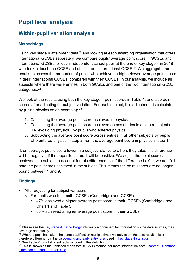# <span id="page-8-0"></span>**Pupil level analysis**

# <span id="page-8-1"></span>**Within-pupil variation analysis**

## **Methodology**

Using key stage 4 attainment data<sup>[20](#page-8-2)</sup> and looking at each awarding organisation that offers international GCSEs separately, we compare pupils' average point score in GCSEs and international GCSEs for each independent school pupil at the end of key stage 4 in 2018 who took at least one GCSE and at least one international GCSE.<sup>[21](#page-8-3)</sup> We aggregate the results to assess the proportion of pupils who achieved a higher/lower average point score in their international GCSEs, compared with their GCSEs. In our analysis, we include all subjects where there were entries in both GCSEs and one of the two international GCSE categories.<sup>[22](#page-8-4)</sup>

We look at the results using both the key stage 4 point scores in Table 1, and also point scores after adjusting for subject variation. For each subject, this adjustment is calculated by (using physics as an example):  $23$ 

- 1. Calculating the average point score achieved in physics
- 2. Calculating the average point score achieved across entries in all other subjects (i.e. excluding physics), by pupils who entered physics
- 3. Subtracting the average point score across entries in all other subjects by pupils who entered physics in step 2 from the average point score in physics in step 1

If, on average, pupils score lower in a subject relative to others they take, this difference will be negative; if the opposite is true it will be positive. We adjust the point scores achieved in a subject to account for this difference, i.e. if the difference is -0.1, we add 0.1 onto the point scores achieved in the subject. This means the point scores are no longer bound between 1 and 9.

## **Findings**

- After adjusting for subject variation:
	- o For pupils who took both IGCSEs (Cambridge) and GCSEs:
		- 47% achieved a higher average point score in their IGCSEs (Cambridge): see Chart 1 and Table 3
		- 53% achieved a higher average point score in their GCSEs

<span id="page-8-2"></span><sup>&</sup>lt;sup>20</sup> Please see the [Key stage 4 methodology](https://assets.publishing.service.gov.uk/government/uploads/system/uploads/attachment_data/file/772862/2018_Key_stage_4_Methodology.pdf) information document for information on the data sources, their coverage and quality

<span id="page-8-3"></span><sup>&</sup>lt;sup>21</sup> Where a pupil has taken the same qualification multiple times we only count the best result, this is therefore different from the [discounting and early entry rules](https://www.gov.uk/government/publications/key-stage-4-qualifications-discount-codes-and-point-scores) used in [key stage 4 statistics](https://www.gov.uk/government/collections/statistics-gcses-key-stage-4)

<span id="page-8-4"></span><sup>&</sup>lt;sup>22</sup> See Table 2 for a list of subjects included in this definition

<span id="page-8-5"></span><sup>&</sup>lt;sup>23</sup> This is known as the unbiased mean total (UBMT) method, for more information see: Chapter 9: Common [examinee methods - Robert Coe](https://www.gov.uk/government/uploads/system/uploads/attachment_data/file/487061/2007-comparability-exam-standards-k-chapter9.pdf)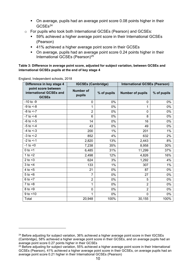- On average, pupils had an average point score 0.08 points higher in their GCSEs<sup>[24](#page-9-0)</sup>
- o For pupils who took both International GCSEs (Pearson) and GCSEs:
	- 59% achieved a higher average point score in their International GCSEs (Pearson)
	- 41% achieved a higher average point score in their GCSEs
	- On average, pupils had an average point score 0.24 points higher in their International GCSEs (Pearson[\)25](#page-9-1)

#### **Table 3: Difference in average point score, adjusted for subject variation, between GCSEs and international GCSEs pupils at the end of key stage 4**

| Difference in key stage 4                                      | <b>IGCSEs (Cambridge)</b>  |             | <b>International GCSEs (Pearson)</b> |             |  |  |
|----------------------------------------------------------------|----------------------------|-------------|--------------------------------------|-------------|--|--|
| point score between<br>international GCSEs and<br><b>GCSEs</b> | <b>Number of</b><br>pupils | % of pupils | <b>Number of pupils</b>              | % of pupils |  |  |
| $-10$ to $-9$                                                  | 0                          | 0%          | 0                                    | 0%          |  |  |
| $-9$ to $<-8$                                                  | 1                          | 0%          | 1                                    | 0%          |  |  |
| $-8$ to $<-7$                                                  | $\overline{2}$             | 0%          | 0                                    | 0%          |  |  |
| $-7$ to $\leq -6$                                              | 6                          | 0%          | 8                                    | 0%          |  |  |
| $-6$ to $<-5$                                                  | 14                         | 0%          | 16                                   | 0%          |  |  |
| $-5$ to $<-4$                                                  | 43                         | 0%          | 49                                   | 0%          |  |  |
| $-4$ to $<-3$                                                  | 200                        | 1%          | 201                                  | 1%          |  |  |
| $-3$ to $<-2$                                                  | 852                        | 4%          | 632                                  | 2%          |  |  |
| $-2$ to $<-1$                                                  | 2,820                      | 13%         | 2,443                                | 8%          |  |  |
| $-1$ to $< 0$                                                  | 7,238                      | 35%         | 8,958                                | 30%         |  |  |
| $0$ to $<$ 1                                                   | 6,485                      | 31%         | 11,299                               | 37%         |  |  |
| 1 to $<$ 2                                                     | 2,498                      | 12%         | 4,826                                | 16%         |  |  |
| 2 to $<$ 3                                                     | 624                        | 3%          | 1,292                                | 4%          |  |  |
| $3$ to $<$ 4                                                   | 133                        | $1\%$       | 307                                  | 1%          |  |  |
| 4 to $<$ 5                                                     | 21                         | 0%          | 87                                   | 0%          |  |  |
| $5$ to $6$                                                     | $\overline{7}$             | 0%          | 27                                   | 0%          |  |  |
| $6$ to $<$ 7                                                   | $\overline{2}$             | 0%          | 5                                    | 0%          |  |  |
| $7$ to $<8$                                                    | 1                          | 0%          | $\overline{2}$                       | 0%          |  |  |
| $8$ to $< 9$                                                   | 0                          | 0%          | $\overline{2}$                       | 0%          |  |  |
| $9$ to $< 10$                                                  | 1                          | 0%          | $\mathbf 0$                          | 0%          |  |  |
| Total                                                          | 20,948                     | 100%        | 30,155                               | 100%        |  |  |

England, Independent schools, 2018

<span id="page-9-0"></span> $24$  Before adjusting for subject variation, 36% achieved a higher average point score in their IGCSEs (Cambridge), 58% achieved a higher average point score in their GCSEs, and on average pupils had an average point score 0.27 points higher in their GCSEs

<span id="page-9-1"></span> $25$  Before adjusting for subject variation, 55% achieved a higher average point score in their International GCSEs (Pearson), 41% achieved a higher average point score in their GCSEs, on average pupils had an average point score 0.21 higher in their International GCSEs (Pearson)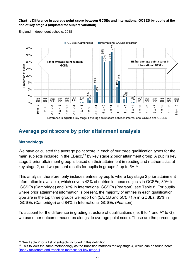#### **Chart 1: Difference in average point score between GCSEs and international GCSES by pupils at the end of key stage 4 (adjusted for subject variation)**

England, Independent schools, 2018



# <span id="page-10-0"></span>**Average point score by prior attainment analysis**

#### **Methodology**

<u>.</u>

We have calculated the average point score in each of our three qualification types for the main subjects included in the EBacc,<sup>[26](#page-10-1)</sup> by key stage 2 prior attainment group. A pupil's key stage 2 prior attainment group is based on their attainment in reading and mathematics at key stage 2, and we present results for pupils in groups 2 up to 5A.<sup>[27](#page-10-2)</sup>

This analysis, therefore, only includes entries by pupils where key stage 2 prior attainment information is available, which covers 42% of entries in these subjects in GCSEs, 30% in IGCSEs (Cambridge) and 32% in International GCSEs (Pearson): see Table 8. For pupils where prior attainment information is present, the majority of entries in each qualification type are in the top three groups we report on (5A, 5B and 5C): 71% in GCSEs, 85% in IGCSEs (Cambridge) and 84% in International GCSEs (Pearson).

To account for the difference in grading structure of qualifications (i.e. 9 to 1 and A\* to G), we use other outcome measures alongside average point score. These are the percentage

<span id="page-10-1"></span><sup>26</sup> See Table 2 for a list of subjects included in this definition

<span id="page-10-2"></span> $27$  This follows the same methodology as the transition matrices for key stage 4, which can be found here: [Ready reckoners and transition matrices for key stage 4](https://www.gov.uk/government/publications/ready-reckoners-and-transition-matrices-for-key-stage-4)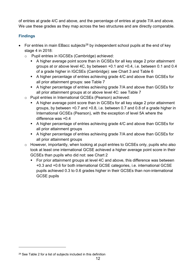of entries at grade 4/C and above, and the percentage of entries at grade 7/A and above. We use these grades as they map across the two structures and are directly comparable.

## **Findings**

- For entries in main EBacc subjects<sup>[28](#page-11-0)</sup> by independent school pupils at the end of key stage 4 in 2018:
	- o Pupil entries in IGCSEs (Cambridge) achieved:
		- A higher average point score than in GCSEs for all key stage 2 prior attainment groups at or above level 4C, by between +0.1 and +0.4, i.e. between 0.1 and 0.4 of a grade higher in IGCSEs (Cambridge): see Chart 3 and Table 6
		- A higher percentage of entries achieving grade 4/C and above than GCSEs for all prior attainment groups: see Table 7
		- A higher percentage of entries achieving grade 7/A and above than GCSEs for all prior attainment groups at or above level 4C: see Table 7
	- o Pupil entries in International GCSEs (Pearson) achieved:
		- A higher average point score than in GCSEs for all key stage 2 prior attainment groups, by between +0.7 and +0.8, i.e. between 0.7 and 0.8 of a grade higher in International GCSEs (Pearson), with the exception of level 5A where the difference was +0.4
		- A higher percentage of entries achieving grade 4/C and above than GCSEs for all prior attainment groups
		- A higher percentage of entries achieving grade 7/A and above than GCSEs for all prior attainment groups
	- o However, importantly, when looking at pupil entries to GCSEs only, pupils who also took at least one international GCSE achieved a higher average point score in their GCSEs than pupils who did not: see Chart 2
		- For prior attainment groups at level 4C and above, this difference was between +0.3 and +0.6 for both international GCSE categories, i.e. international GCSE pupils achieved 0.3 to 0.6 grades higher in their GCSEs than non-international GCSE pupils

<u>.</u>

<span id="page-11-0"></span><sup>28</sup> See Table 2 for a list of subjects included in this definition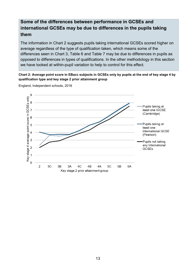# **Some of the differences between performance in GCSEs and international GCSEs may be due to differences in the pupils taking them**

The information in Chart 2 suggests pupils taking international GCSEs scored higher on average regardless of the type of qualification taken, which means some of the differences seen in Chart 3, Table 6 and Table 7 may be due to differences in pupils as opposed to differences in types of qualifications. In the other methodology in this section we have looked at within-pupil variation to help to control for this effect.

**Chart 2: Average point score in EBacc subjects in GCSEs only by pupils at the end of key stage 4 by qualification type and key stage 2 prior attainment group**

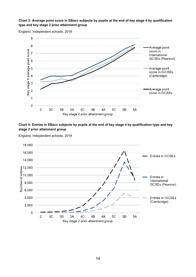#### **Chart 3: Average point score in EBacc subjects by pupils at the end of key stage 4 by qualification type and key stage 2 prior attainment group**



#### England, Independent schools, 2018

#### **Chart 4: Entries in EBacc subjects by pupils at the end of key stage 4 by qualification type and key stage 2 prior attainment group**



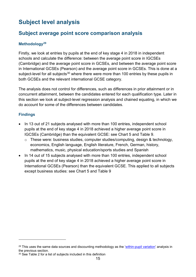# <span id="page-14-0"></span>**Subject level analysis**

# <span id="page-14-1"></span>**Subject average point score comparison analysis**

## **Methodology[29](#page-14-2)**

Firstly, we look at entries by pupils at the end of key stage 4 in 2018 in independent schools and calculate the difference: between the average point score in IGCSEs (Cambridge) and the average point score in GCSEs, and between the average point score in International GCSEs (Pearson) and the average point score in GCSEs. This is done at a subject-level for all subjects<sup>[30](#page-14-3)</sup> where there were more than 100 entries by these pupils in both GCSEs and the relevant international GCSE category.

The analysis does not control for differences, such as differences in prior attainment or in concurrent attainment, between the candidates entered for each qualification type. Later in this section we look at subject-level regression analysis and chained equating, in which we do account for some of the differences between candidates.

## **Findings**

- In 13 out of 21 subjects analysed with more than 100 entries, independent school pupils at the end of key stage 4 in 2018 achieved a higher average point score in IGCSEs (Cambridge) than the equivalent GCSE: see Chart 5 and Table 9.
	- o These were: business studies, computer studies/computing, design & technology, economics, English language, English literature, French, German, history, mathematics, music, physical education/sports studies and Spanish
- In 14 out of 15 subjects analysed with more than 100 entries, independent school pupils at the end of key stage 4 in 2018 achieved a higher average point score in International GCSEs (Pearson) than the equivalent GCSE. This applied to all subjects except business studies: see Chart 5 and Table 9

<span id="page-14-2"></span> $29$  This uses the same data sources and discounting methodology as the ['within-pupil variation'](#page-8-1) analysis in the previous section.

<span id="page-14-3"></span> $30$  See Table 2 for a list of subjects included in this definition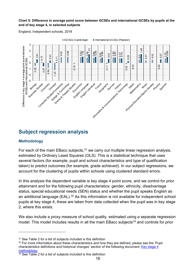#### **Chart 5: Difference in average point score between GCSEs and international GCSEs by pupils at the end of key stage 4, in selected subjects**

England, Independent schools, 2018



# <span id="page-15-0"></span>**Subject regression analysis**

#### **Methodology**

-

For each of the main EBacc subjects,  $31$  we carry out multiple linear regression analysis, estimated by Ordinary Least Squares (OLS). This is a statistical technique that uses several factors (for example, pupil and school characteristics and type of qualification taken) to predict outcomes (for example, grade achieved). In our subject regressions, we account for the clustering of pupils within schools using clustered standard errors.

In this analysis the dependent variable is key stage 4 point score, and we control for prior attainment and for the following pupil characteristics: gender, ethnicity, disadvantage status, special educational needs (SEN) status and whether the pupil speaks English as an additional language (EAL).<sup>[32](#page-15-2)</sup> As this information is not available for independent school pupils at key stage 4, these are taken from data collected when the pupil was in key stage 2, where this exists.

We also include a proxy measure of school quality, estimated using a separate regression model. This model includes results in all the main EBacc subjects<sup>[33](#page-15-3)</sup> and controls for prior

<span id="page-15-1"></span><sup>31</sup> See Table 2 for a list of subjects included is this definition

<span id="page-15-2"></span> $32$  For more information about these characteristics and how they are defined, please see the 'Pupil characteristics definitions and historical changes' section of the following document: [Key stage 4](https://educationgovuk-my.sharepoint.com/personal/fergus_holloway_education_gov_uk/Documents/Documents/Key%20stage%204%20methodology)  methodology<br><sup>33</sup> See Table 2 for a list of subjects included is this definition

<span id="page-15-3"></span>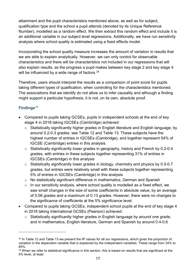attainment and the pupil characteristics mentioned above, as well as for subject, qualification type and the school a pupil attends (denoted by its Unique Reference Number), modelled as a random effect. We then extract this random effect and include it is an additional variable in our subject level regressions. Additionally, we have run sensitivity analysis where school quality is estimated using a fixed effects model.

Incorporating the school quality measure increases the amount of variation in results that we are able to explain analytically. However, we can only control for observable characteristics and there will be characteristics not included in our regressions that will also explain results, as the progress a pupil makes between key stage 2 and key stage 4 will be influenced by a wide range of factors. [34](#page-16-0)

Therefore, users should interpret the results as a comparison of point score for pupils taking different types of qualification, when controlling for the characteristics mentioned. The associations that we identify do not allow us to infer causality and although a finding might support a particular hypothesis, it is not, on its own, absolute proof.

## **Findings**[35](#page-16-1)

- Compared to pupils taking GCSEs, pupils in independent schools at the end of key stage 4 in 2018 taking IGCSEs (Cambridge) achieved:
	- o Statistically significantly higher grades in English literature and English language, by around 0.2-0.3 grades: see Table 12 and Table 13. These subjects have the highest number of entries in IGCSEs (Cambridge), and together represent 54% of IGCSE (Cambridge) entries in this analysis.
	- o Statistically significantly lower grades in geography, history and French by 0.2-0.4 grades, with entries in these subjects together representing 31% of entries in IGCSEs (Cambridge) in this analysis
	- o Statistically significantly lower grades in biology, chemistry and physics by 0.5-0.7 grades, but entries were relatively small with these subjects together representing 5% of entries in IGCSEs (Cambridge) in this analysis
	- o No statistically significant difference in mathematics, German and Spanish
	- $\circ$  In our sensitivity analysis, where school quality is modelled as a fixed effect, we saw small changes in the size of some coefficients in absolute value, by an average of 0.08 grades and a maximum of 0.13 grades. However, there were no changes to the significance of coefficients at the 5% significance level.
- Compared to pupils taking GCSEs, independent school pupils at the end of key stage 4 in 2018 taking International GCSEs (Pearson) achieved:
	- $\circ$  Statistically significantly higher grades in English language by around one grade, and in mathematics, English literature, German and Spanish by around 0.4-0.6

<span id="page-16-0"></span><sup>&</sup>lt;sup>34</sup> In Table 12 and Table 13 we present the R<sup>2</sup> values for all our regressions, which gives the proportion of variation in the dependent variable that is explained by the independent variables. These range from 34% to 65%.

<span id="page-16-1"></span><sup>&</sup>lt;sup>35</sup> When we refer to statistical significance in this section, this is based on results that are significant at the 5% level, at least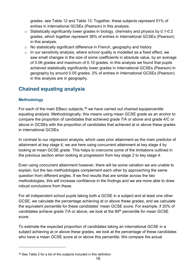grades: see Table 12 and Table 13. Together, these subjects represent 51% of entries in International GCSEs (Pearson) in this analysis.

- o Statistically significantly lower grades in biology, chemistry and physics by 0.1-0.2 grades, which together represent 38% of entries in International GCSEs (Pearson) in this analysis.
- o No statistically significant difference in French, geography and history
- $\circ$  In our sensitivity analysis, where school quality is modelled as a fixed effect, we saw small changes in the size of some coefficients in absolute value, by an average of 0.06 grades and maximum of 0.10 grades. In this analysis we found that pupils achieved statistically significantly lower grades in International GCSEs (Pearson) in geography by around 0.05 grades. 2% of entries in International GCSEs (Pearson) in this analysis are in geography.

# <span id="page-17-0"></span>**Chained equating analysis**

## **Methodology**

<u>.</u>

For each of the main EBacc subjects,<sup>[36](#page-17-1)</sup> we have carried out chained equipercentile equating analysis. Methodologically, this means using mean GCSE grade as an anchor to compare the proportion of candidates that achieved grade 7/A or above and grade 4/C or above in GCSEs with the proportion of candidates that achieved at or above these grades in international GCSEs.

In contrast to our regression analysis, which uses prior attainment as the main predictor of attainment at key stage 4, we are here using concurrent attainment at key stage 4 by looking at mean GCSE grade. This helps to overcome some of the limitations outlined in the previous section when looking at progression from key stage 2 to key stage 4.

Even using concurrent attainment however, there will be some variation we are unable to explain, but the two methodologies complement each other by approaching the same question from different angles. If we find results that are similar across the two methodologies, this will increase confidence in the findings and we are more able to draw robust conclusions from these.

For all independent school pupils taking both a GCSE in a subject and at least one other GCSE, we calculate the percentage achieving at or above these grades, and we calculate the equivalent percentile for these candidates' mean GCSE score. For example, if 20% of candidates achieve grade  $7/A$  or above, we look at the  $80<sup>th</sup>$  percentile for mean GCSE score.

To estimate the expected proportion of candidates taking an international GCSE in a subject achieving at or above these grades, we look at the percentage of these candidates who have a mean GCSE score at or above this percentile. We compare the actual

<span id="page-17-1"></span><sup>36</sup> See Table 2 for a list of the subjects included in this definition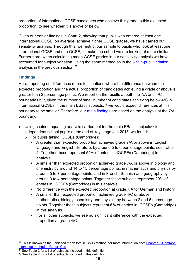proportion of international GCSE candidates who achieve this grade to this expected proportion, to see whether it is above or below.

Given our earlier findings in Chart 2, showing that pupils who entered at least one international GCSE, on average, achieve higher GCSE grades, we have carried out sensitivity analysis. Through this, we restrict our sample to pupils who took at least one international GCSE and one GCSE, to make the cohort we are looking at more similar. Furthermore, when calculating mean GCSE grades in our sensitivity analysis we have accounted for subject variation, using the same method as in the within-pupil variation analysis in the previous section.<sup>37</sup>

## **Findings**

<u>.</u>

Here, reporting on differences refers to situations where the difference between the expected proportion and the actual proportion of candidates achieving a grade or above is greater than 2 percentage points. We report on the results at both the 7/A and 4/C boundaries but, given the number of small number of candidates achieving below 4/C in international GCSEs in the main EBacc subjects,<sup>[38](#page-18-1)</sup> we would expect differences at this boundary to be smaller. Therefore, our [main findings](#page-4-0) are based on the analysis at the 7/A boundary.

- Using chained equating analysis carried out for the main EBacc subjects<sup>[39](#page-18-2)</sup> for independent school pupils at the end of key stage 4 in 2018, we found:
	- o For pupils taking IGCSEs (Cambridge):
		- A greater than expected proportion achieved grade 7/A or above in English language and English literature, by around 5 to 6 percentage points, see Table 4. Together these represent 51% of entries in IGCSEs (Cambridge) in this analysis.
		- A smaller than expected proportion achieved grade 7/A or above in biology and chemistry by around 14 to 15 percentage points, in mathematics and physics by around 5 to 7 percentage points, and in French, Spanish and geography by around 3 to 4 percentage points. Together these subjects represent 29% of entries in IGCSEs (Cambridge) in this analysis.
		- No difference with the expected proportion at grade 7/A for German and history
		- A smaller than expected proportion achieved grade 4/C or above in mathematics, biology, chemistry and physics, by between 2 and 6 percentage points. Together these subjects represent 6% of entries in IGCSEs (Cambridge) in this analysis.
		- For all other subjects, we see no significant difference with the expected proportion at grade 4/C

<span id="page-18-0"></span><sup>&</sup>lt;sup>37</sup> This is known as the unbiased mean total (UBMT) method, for more information see: Chapter 9: Common [examinee methods - Robert Coe](https://www.gov.uk/government/uploads/system/uploads/attachment_data/file/487061/2007-comparability-exam-standards-k-chapter9.pdf)

<span id="page-18-1"></span> $38$  See Table 2 for a list of subjects included in this definition

<span id="page-18-2"></span><sup>39</sup> See Table 2 for a list of subjects included in this definition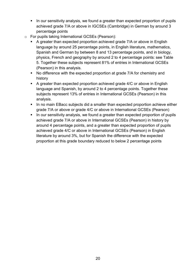- In our sensitivity analysis, we found a greater than expected proportion of pupils achieved grade 7/A or above in IGCSEs (Cambridge) in German by around 3 percentage points
- o For pupils taking International GCSEs (Pearson):
	- A greater than expected proportion achieved grade 7/A or above in English language by around 25 percentage points, in English literature, mathematics, Spanish and German by between 8 and 13 percentage points, and in biology, physics, French and geography by around 2 to 4 percentage points: see Table 5. Together these subjects represent 81% of entries in International GCSEs (Pearson) in this analysis.
	- No difference with the expected proportion at grade 7/A for chemistry and history
	- A greater than expected proportion achieved grade 4/C or above in English language and Spanish, by around 2 to 4 percentage points. Together these subjects represent 13% of entries in International GCSEs (Pearson) in this analysis.
	- In no main EBacc subjects did a smaller than expected proportion achieve either grade 7/A or above or grade 4/C or above in International GCSEs (Pearson)
	- In our sensitivity analysis, we found a greater than expected proportion of pupils achieved grade 7/A or above in International GCSEs (Pearson) in history by around 4 percentage points, and a greater than expected proportion of pupils achieved grade 4/C or above in International GCSEs (Pearson) in English literature by around 3%, but for Spanish the difference with the expected proportion at this grade boundary reduced to below 2 percentage points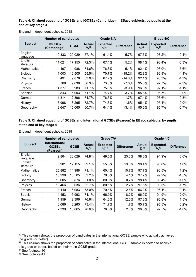#### **Table 4: Chained equating of GCSEs and IGCSEs (Cambridge) in EBacc subjects, by pupils at the end of key stage 4**

| <b>Number of candidates</b> |                              |             |                      | Grade 7/A                         |                   | Grade 4/C                                    |                                     |                   |  |
|-----------------------------|------------------------------|-------------|----------------------|-----------------------------------|-------------------|----------------------------------------------|-------------------------------------|-------------------|--|
| <b>Subject</b>              | <b>IGCSEs</b><br>(Cambridge) | <b>GCSE</b> | <b>Actual</b><br>%40 | <b>Expected</b><br>$^{0}/_{0}$ 41 | <b>Difference</b> | <b>Actual</b><br>$\frac{9}{6}$ <sup>40</sup> | <b>Expected</b><br>$^{9}/_{0}^{41}$ | <b>Difference</b> |  |
| English<br>language         | 10,333                       | 20,029      | 67.1%                | 61.4%                             | 5.7%              | 97.3%                                        | 97.2%                               | 0.1%              |  |
| English<br>literature       | 11,021                       | 17,155      | 72.3%                | 67.1%                             | 5.2%              | 98.1%                                        | 98.4%                               | $-0.3%$           |  |
| <b>Mathematics</b>          | 197                          | 14,988      | 71.6%                | 76.6%                             | $-5.1%$           | 92.4%                                        | 98.0%                               | $-5.6%$           |  |
| Biology                     | 1,003                        | 10,505      | 55.5%                | 70.7%                             | $-15.2%$          | 92.8%                                        | 96.9%                               | $-4.1%$           |  |
| Chemistry                   | 491                          | 9,876       | 53.0%                | 67.2%                             | $-14.3%$          | 92.1%                                        | 96.3%                               | $-4.3%$           |  |
| Physics                     | 769                          | 9,636       | 66.3%                | 73.3%                             | $-7.0\%$          | 95.3%                                        | 97.7%                               | $-2.3%$           |  |
| French                      | 4,377                        | 6,983       | 71.7%                | 75.6%                             | $-3.9%$           | 96.0%                                        | 97.1%                               | $-1.1%$           |  |
| Spanish                     | 2,843                        | 5,993       | 71.1%                | 74.7%                             | $-3.7%$           | 95.8%                                        | 96.7%                               | $-0.9%$           |  |
| German                      | 1,314                        | 2,396       | 74.7%                | 76.3%                             | $-1.7%$           | 97.4%                                        | 96.6%                               | 0.8%              |  |
| History                     | 6,998                        | 8,265       | 72.7%                | 74.3%                             | $-1.6%$           | 95.4%                                        | 95.4%                               | 0.0%              |  |
| Geography                   | 2,647                        | 15,065      | 60.7%                | 64.1%                             | $-3.4%$           | 95.0%                                        | 95.7%                               | $-0.7%$           |  |

England, Independent schools, 2018

#### **Table 5: Chained equating of GCSEs and International GCSEs (Pearson) in EBacc subjects, by pupils at the end of key stage 4**

| <b>Number of candidates</b> |                                            |             |                                            | Grade 7/A                                    |                   | Grade 4/C                                    |                                     |                   |  |
|-----------------------------|--------------------------------------------|-------------|--------------------------------------------|----------------------------------------------|-------------------|----------------------------------------------|-------------------------------------|-------------------|--|
| <b>Subject</b>              | International<br><b>GCSEs</b><br>(Pearson) | <b>GCSE</b> | <b>Actual</b><br>$^{9}/_{0}$ <sup>42</sup> | <b>Expected</b><br>$^{0}/_{0}$ <sup>43</sup> | <b>Difference</b> | <b>Actual</b><br>$\frac{9}{6}$ <sup>42</sup> | <b>Expected</b><br>$^{9}/_{0}^{43}$ | <b>Difference</b> |  |
| English<br>language         | 9,864                                      | 20,029      | 74.8%                                      | 49.5%                                        | 25.3%             | 98.5%                                        | 94.9%                               | 3.6%              |  |
| English<br>literature       | 8,981                                      | 17,155      | 69.1%                                      | 55.8%                                        | 13.3%             | 98.4%                                        | 96.8%                               | 1.6%              |  |
| <b>Mathematics</b>          | 25,882                                     | 14,988      | 71.1%                                      | 60.4%                                        | 10.7%             | 97.7%                                        | 96.5%                               | 1.2%              |  |
| Biology                     | 13,298                                     | 10,505      | 83.2%                                      | 79.0%                                        | 4.1%              | 97.7%                                        | 99.2%                               | $-1.5%$           |  |
| Chemistry                   | 13,605                                     | 9,876       | 81.0%                                      | 80.3%                                        | 0.7%              | 98.4%                                        | 99.4%                               | $-1.0%$           |  |
| Physics                     | 13,466                                     | 9,636       | 82.7%                                      | 80.1%                                        | 2.7%              | 97.5%                                        | 99.3%                               | $-1.7%$           |  |
| French                      | 4,440                                      | 6,983       | 73.0%                                      | 70.4%                                        | 2.6%              | 96.2%                                        | 96.1%                               | 0.1%              |  |
| Spanish                     | 4,153                                      | 5,993       | 74.1%                                      | 66.0%                                        | 8.2%              | 96.9%                                        | 94.9%                               | 2.0%              |  |
| German                      | 1,959                                      | 2,396       | 76.6%                                      | 64.6%                                        | 12.0%             | 97.3%                                        | 95.8%                               | 1.5%              |  |
| History                     | 6,086                                      | 8,265       | 73.4%                                      | 71.7%                                        | 1.7%              | 95.7%                                        | 95.5%                               | 0.2%              |  |
| Geography                   | 2,339                                      | 15,065      | 78.6%                                      | 76.3%                                        | 2.3%              | 96.5%                                        | 97.5%                               | $-1.0%$           |  |

England, Independent schools, 2018

<span id="page-20-0"></span><sup>&</sup>lt;sup>40</sup> This column shows the proportion of candidates in the international GCSE sample who actually achieved the grade (or better)

<span id="page-20-1"></span><sup>&</sup>lt;sup>41</sup> This column shows the proportion of candidates in the international GCSE sample expected to achieve this grade or better, based on their main GCSE grade

<span id="page-20-2"></span><sup>42</sup> See footnote 40

<span id="page-20-3"></span><sup>43</sup> See footnote 41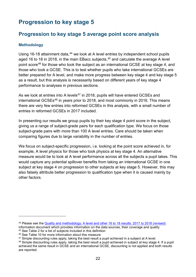# <span id="page-21-2"></span><span id="page-21-0"></span>**Progression to key stage 5**

# <span id="page-21-1"></span>**Progression to key stage 5 average point score analysis**

## **Methodology**

Using 16-18 attainment data,<sup>[44](#page-21-3)</sup> we look at A level entries by independent school pupils aged 16 to 18 in 2018, in the main EBacc subjects, $45$  and calculate the average A level point score[46](#page-21-5) for those who took the subject as an international GCSE at key stage 4, and those who took a GCSE. This is to test whether pupils who take international GCSEs are better prepared for A level, and make more progress between key stage 4 and key stage 5 as a result, but this analysis is necessarily based on different years of key stage 4 performance to analyses in previous sections.

As we look at entries into A levels<sup>[47](#page-21-6)</sup> in 2018, pupils will have entered GCSEs and international GCSEs<sup>[48](#page-21-7)</sup> in years prior to 2018, and most commonly in 2016. This means there are very few entries into reformed GCSEs in this analysis, with a small number of entries in reformed GCSEs in 2017 included.

In presenting our results we group pupils by their key stage 4 point score in the subject, giving us a range of subject-grade pairs for each qualification type. We focus on those subject-grade pairs with more than 100 A level entries. Care should be taken when comparing figures due to large variability in the number of entries.

We focus on subject-specific progression, i.e. looking at the point score achieved in, for example, A level physics for those who took physics at key stage 4. An alternative measure would be to look at A level performance across all the subjects a pupil takes. This would capture any potential spillover benefits from taking an international GCSE in one subject at key stage 4 on progression to other subjects at key stage 5. However, this may also falsely attribute better progression to qualification type when it is caused mainly by other factors.

<span id="page-21-3"></span><sup>44</sup> Please see the [Quality and methodology: A level and other 16 to 18 results: 2017 to 2018 \(revised\)](https://www.gov.uk/government/statistics/a-level-and-other-16-to-18-results-2017-to-2018-revised)

<span id="page-21-4"></span>information document which provides information on the data sources, their coverage and quality <sup>45</sup> See Table 2 for a list of subjects included in this definition

<span id="page-21-5"></span><sup>46</sup> See Table 10 for more information about this measure

<span id="page-21-6"></span><sup>&</sup>lt;sup>47</sup> Simple discounting rules apply, taking the best result a pupil achieved in a subject at A level.

<span id="page-21-7"></span><sup>48</sup> Simple discounting rules apply, taking the best result a pupil achieved in subject at key stage 4. If a pupil achieved the same result in GCSE and an international GCSE, discounting is not applied and both results are reported.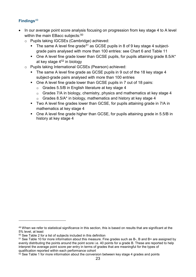## **Findings**[49](#page-22-0)

- In our average point score analysis focusing on progression from key stage 4 to A level within the main EBacc subjects:<sup>[50](#page-22-1)</sup>
	- o Pupils taking IGCSEs (Cambridge) achieved:
		- The same A level fine grade<sup>[51](#page-22-2)</sup> as GCSE pupils in 8 of 9 key stage 4 subjectgrade pairs analysed with more than 100 entries: see Chart 6 and Table 11
		- $\blacksquare$  One A level fine grade lower than GCSE pupils, for pupils attaining grade 8.5/A\* at key stage 4[52](#page-22-3) in biology
	- o Pupils taking International GCSEs (Pearson) achieved:
		- The same A level fine grade as GCSE pupils in 9 out of the 18 key stage 4 subject-grade pairs analysed with more than 100 entries
		- One A level fine grade lower than GCSE pupils in 7 out of 18 pairs:
			- $G$  Grades 5.5/B in English literature at key stage 4
			- $G$  Grades 7/A in biology, chemistry, physics and mathematics at key stage 4
			- $G$  Grades 8.5/A\* in biology, mathematics and history at key stage 4
		- Two A level fine grades lower than GCSE, for pupils attaining grade in 7/A in mathematics at key stage 4
		- One A level fine grade higher than GCSE, for pupils attaining grade in 5.5/B in history at key stage 4

<span id="page-22-0"></span><sup>49</sup> When we refer to statistical significance in this section, this is based on results that are significant at the 5% level, at least

<span id="page-22-1"></span><sup>50</sup> See Table 2 for a list of subjects included in this definition

<span id="page-22-2"></span><sup>51</sup> See Table 10 for more information about this measure. Fine grades such as B-, B and B+ are assigned by evenly distributing the points around the point score i.e. 40 points for a grade B. These are reported to help interpret the average point score per entry in terms of grades that are meaningful for the types of qualification reported within each performance cohort

<span id="page-22-3"></span> $52$  See Table 1 for more information about the conversion between key stage 4 grades and points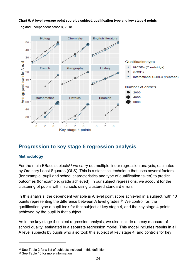**Chart 6: A level average point score by subject, qualification type and key stage 4 points**

England, Independent schools, 2018



# <span id="page-23-0"></span>**Progression to key stage 5 regression analysis**

## **Methodology**

For the main EBacc subjects<sup>[53](#page-23-1)</sup> we carry out multiple linear regression analysis, estimated by Ordinary Least Squares (OLS). This is a statistical technique that uses several factors (for example, pupil and school characteristics and type of qualification taken) to predict outcomes (for example, grade achieved). In our subject regressions, we account for the clustering of pupils within schools using clustered standard errors.

In this analysis, the dependent variable is A level point score achieved in a subject, with 10 points representing the difference between A level grades.<sup>[54](#page-23-2)</sup> We control for: the qualification type a pupil took for that subject at key stage 4, and the key stage 4 points achieved by the pupil in that subject.

As in the key stage 4 subject regression analysis, we also include a proxy measure of school quality, estimated in a separate regression model. This model includes results in all A level subjects by pupils who also took this subject at key stage 4, and controls for key

<span id="page-23-1"></span><sup>53</sup> See Table 2 for a list of subjects included in this definition

<span id="page-23-2"></span><sup>54</sup> See Table 10 for more information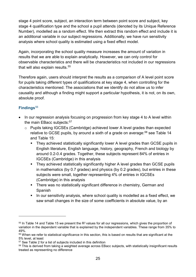stage 4 point score, subject, an interaction term between point score and subject, key stage 4 qualification type and the school a pupil attends (denoted by its Unique Reference Number), modelled as a random effect. We then extract this random effect and include it is an additional variable in our subject regressions. Additionally, we have run sensitivity analysis where school quality is estimated using a fixed effect model.

Again, incorporating the school quality measure increases the amount of variation in results that we are able to explain analytically. However, we can only control for observable characteristics and there will be characteristics not included in our regressions that will also explain results.<sup>55</sup>

Therefore again, users should interpret the results as a comparison of A level point score for pupils taking different types of qualifications at key stage 4, when controlling for the characteristics mentioned. The associations that we identify do not allow us to infer causality and although a finding might support a particular hypothesis, it is not, on its own, absolute proof.

## **Findings**[56](#page-24-1)

- In our regression analysis focusing on progression from key stage 4 to A level within the main EBacc subjects: [57](#page-24-2)
	- o Pupils taking IGCSEs (Cambridge) achieved lower A level grades than expected relative to GCSE pupils, by around a sixth of a grade on average:<sup>[58](#page-24-3)</sup> see Table 14 and Table 15:
		- They achieved statistically significantly lower A level grades than GCSE pupils in English literature, English language, history, geography, French and biology by around 0.2-0.4 grades. Together, these subjects represent 84% of entries in IGCSEs (Cambridge) in this analysis
		- They achieved statistically significantly higher A level grades than GCSE pupils in mathematics (by 0.7 grades) and physics (by 0.2 grades), but entries in these subjects were small, together representing 4% of entries in IGCSEs (Cambridge) in this analysis
		- **There was no statistically significant difference in chemistry, German and** Spanish
		- **IF** In our sensitivity analysis, where school quality is modelled as a fixed effect, we saw small changes in the size of some coefficients in absolute value, by an

<span id="page-24-0"></span> $55$  In Table 14 and Table 15 we present the R<sup>2</sup> values for all our regressions, which gives the proportion of variation in the dependent variable that is explained by the independent variables. These range from 35% to 49%.

<span id="page-24-1"></span><sup>56</sup> When we refer to statistical significance in this section, this is based on results that are significant at the 5% level, at least

<span id="page-24-2"></span><sup>57</sup> See Table 2 for a list of subjects included in this definition

<span id="page-24-3"></span><sup>58</sup> This is derived from taking a weighted average across EBacc subjects, with statistically insignificant results treated as representing no difference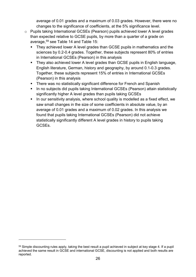average of 0.01 grades and a maximum of 0.03 grades. However, there were no changes to the significance of coefficients, at the 5% significance level.

- o Pupils taking International GCSEs (Pearson) pupils achieved lower A level grades than expected relative to GCSE pupils, by more than a quarter of a grade on average,[59](#page-25-0) see Table 14 and Table 15:
	- They achieved lower A level grades than GCSE pupils in mathematics and the sciences by 0.2-0.4 grades. Together, these subjects represent 80% of entries in International GCSEs (Pearson) in this analysis
	- They also achieved lower A level grades than GCSE pupils in English language, English literature, German, history and geography, by around 0.1-0.3 grades. Together, these subjects represent 15% of entries in International GCSEs (Pearson) in this analysis
	- There was no statistically significant difference for French and Spanish
	- In no subjects did pupils taking International GCSEs (Pearson) attain statistically significantly higher A level grades than pupils taking GCSEs
	- In our sensitivity analysis, where school quality is modelled as a fixed effect, we saw small changes in the size of some coefficients in absolute value, by an average of 0.01 grades and a maximum of 0.02 grades. In this analysis we found that pupils taking International GCSEs (Pearson) did not achieve statistically significantly different A level grades in history to pupils taking GCSEs.

<span id="page-25-0"></span><sup>&</sup>lt;sup>59</sup> Simple discounting rules apply, taking the best result a pupil achieved in subject at key stage 4. If a pupil achieved the same result in GCSE and international GCSE, discounting is not applied and both results are reported.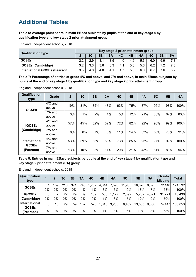# <span id="page-26-0"></span>**Additional Tables**

#### **Table 6: Average point score in main EBacc subjects by pupils at the end of key stage 4 by qualification type and key stage 2 prior attainment group**

England, Independent schools, 2018

| <b>Qualification type</b>            |               | Key stage 2 prior attainment group |     |     |     |     |     |           |     |     |
|--------------------------------------|---------------|------------------------------------|-----|-----|-----|-----|-----|-----------|-----|-----|
|                                      |               | 3 <sub>C</sub>                     | 3B  | 3A  | 4C  | 4B  | 4A  | <b>5C</b> | 5Β  | 5Α  |
| <b>GCSEs</b>                         | $2.2^{\circ}$ | 2.9                                | 3.1 | 3.5 | 4.0 | 4.6 | 5.3 | 6.0       | 6.9 |     |
| <b>IGCSEs (Cambridge)</b>            | 3.2           | 3.3                                | 3.6 | 3.3 | 4.1 | 5.0 | 5.6 | 6.2       |     |     |
| <b>International GCSEs (Pearson)</b> | 3.5           | 4.0                                | 4.0 | 4.1 | 4.7 | 5.3 | 6.0 | 6.        | 7.6 | 8.2 |

**Table 7: Percentage of entries at grade 4/C and above, and 7/A and above, in main EBacc subjects by pupils at the end of key stage 4 by qualification type and key stage 2 prior attainment group**

England, Independent schools, 2018

| <b>Qualification</b><br>type                      | Grade              | $\mathbf{2}$ | 3 <sub>C</sub> | 3B  | 3A  | 4C  | 4B  | 4A  | <b>5C</b> | 5 <sub>B</sub> | <b>5A</b> |
|---------------------------------------------------|--------------------|--------------|----------------|-----|-----|-----|-----|-----|-----------|----------------|-----------|
| <b>GCSEs</b>                                      | $4/C$ and<br>above | 19%          | 31%            | 35% | 47% | 63% | 75% | 87% | 95%       | 98%            | 100%      |
|                                                   | 7/A and<br>above   | 3%           | 1%             | 2%  | 4%  | 5%  | 12% | 21% | 38%       | 62%            | 83%       |
| <b>IGCSEs</b><br>(Cambridge)                      | $4/C$ and<br>above | 57%          | 45%            | 52% | 52% | 72% | 82% | 92% | 96%       | 99%            | 100%      |
|                                                   | 7/A and<br>above   | $0\%$        | $0\%$          | 7%  | 3%  | 11% | 24% | 33% | 50%       | 76%            | 91%       |
| <b>International</b><br><b>GCSEs</b><br>(Pearson) | $4/C$ and<br>above | 53%          | 59%            | 63% | 58% | 76% | 85% | 93% | 97%       | 99%            | 100%      |
|                                                   | 7/A and<br>above   | 13%          | 10%            | 3%  | 11% | 20% | 31% | 43% | 61%       | 83%            | 94%       |

#### **Table 8: Entries in main EBacc subjects by pupils at the end of key stage 4 by qualification type and key stage 2 prior attainment (PA) group**

| Qualification<br>type         |              | $\mathbf 2$ | 3C  | 3B  | 3A  | 4C    | 4B    | 4A    | <b>5C</b> | 5B     | <b>5A</b> | <b>PA</b> info<br><b>Missing</b> | Total   |
|-------------------------------|--------------|-------------|-----|-----|-----|-------|-------|-------|-----------|--------|-----------|----------------------------------|---------|
| <b>GCSEs</b>                  |              | 159         | 216 | 371 | 743 | 1.757 | 4,314 | .590  | 11,985    | 16,620 | 8,695     | 72,140                           | 124,592 |
|                               | 0%           | 0%          | 0%  | 0%  | 1%  | 1%    | 3%    | 6%    | 10%       | 13%    | 7%        | 58%                              | 100%    |
| <b>IGCSEs</b>                 | $\mathbf{0}$ |             | 22  | 29  | 69  | 189   | 500   | 1,177 | 2,399     | 5,252  | 4,071     | 31,721                           | 45,436  |
| (Cambridge)                   | 0%           | 0%          | 0%  | 0%  | 0%  | 0%    | 1%    | 3%    | 5%        | 12%    | 9%        | 70%                              | 100%    |
| International<br><b>GCSEs</b> | 0            | 15          | 29  | 59  | 132 | 525   | .3461 | 3,235 | 6,452     | 13,533 | 9,080     | 74,447                           | 108,853 |
| (Pearson)                     | $0\%$        | 0%          | 0%  | 0%  | 0%  | 0%l   | $1\%$ | 3%    | 6%        | 12%    | 8%        | 68%                              | 100%    |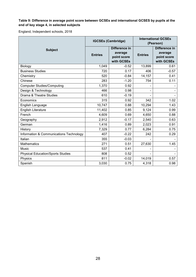#### **Table 9: Difference in average point score between GCSEs and international GCSES by pupils at the end of key stage 4, in selected subjects**

|                                          |                | <b>IGCSEs (Cambridge)</b>                             | <b>International GCSEs</b><br>(Pearson) |                                                       |  |
|------------------------------------------|----------------|-------------------------------------------------------|-----------------------------------------|-------------------------------------------------------|--|
| <b>Subject</b>                           | <b>Entries</b> | Difference in<br>average<br>point score<br>with GCSEs | <b>Entries</b>                          | Difference in<br>average<br>point score<br>with GCSEs |  |
| Biology                                  | 1,049          | $-0.52$                                               | 13,899                                  | 0.61                                                  |  |
| <b>Business Studies</b>                  | 720            | 0.17                                                  | 406                                     | $-0.57$                                               |  |
| Chemistry                                | 520            | $-0.84$                                               | 14,157                                  | 0.41                                                  |  |
| Chinese                                  | 283            | $-1.20$                                               | 754                                     | 0.11                                                  |  |
| <b>Computer Studies/Computing</b>        | 1,370          | 0.92                                                  |                                         |                                                       |  |
| Design & Technology                      | 466            | 0.98                                                  |                                         |                                                       |  |
| Drama & Theatre Studies                  | 610            | $-0.19$                                               |                                         |                                                       |  |
| Economics                                | 315            | 0.92                                                  | 342                                     | 1.02                                                  |  |
| English Language                         | 10,747         | 0.88                                                  | 10,294                                  | 1.43                                                  |  |
| English Literature                       | 11,402         | 0.85                                                  | 9,124                                   | 0.99                                                  |  |
| French                                   | 4,609          | 0.69                                                  | 4,650                                   | 0.88                                                  |  |
| Geography                                | 2,912          | $-0.17$                                               | 2,540                                   | 0.63                                                  |  |
| German                                   | 1,416          | 0.89                                                  | 2,023                                   | 0.91                                                  |  |
| History                                  | 7,329          | 0.77                                                  | 6,284                                   | 0.75                                                  |  |
| Information & Communications Technology  | 407            | $-0.22$                                               | 242                                     | 0.29                                                  |  |
| Italian                                  | 355            | $-0.03$                                               |                                         |                                                       |  |
| <b>Mathematics</b>                       | 271            | 0.51                                                  | 27,630                                  | 1.45                                                  |  |
| <b>Music</b>                             | 537            | 0.41                                                  |                                         |                                                       |  |
| <b>Physical Education/Sports Studies</b> | 808            | 0.52                                                  |                                         |                                                       |  |
| Physics                                  | 811            | $-0.02$                                               | 14,019                                  | 0.57                                                  |  |
| Spanish                                  | 3,030          | 0.75                                                  | 4,318                                   | 0.98                                                  |  |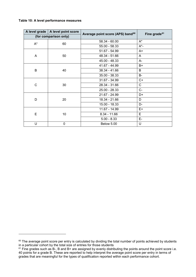#### **Table 10: A level performance measures**

|       | A level grade   A level point score | Average point score (APS) band <sup>60</sup> | Fine grade <sup>61</sup> |
|-------|-------------------------------------|----------------------------------------------|--------------------------|
|       | (for comparison only)               |                                              |                          |
| $A^*$ | 60                                  | $58.34 - 60.00$                              | $A^*$                    |
|       |                                     | $55.00 - 58.33$                              | $A^*$ -                  |
|       |                                     | 51.67 - 54.99                                | A+                       |
| A     | 50                                  | 48.34 - 51.66                                | A                        |
|       |                                     | 45.00 - 48.33                                | A-                       |
| B     |                                     | 41.67 - 44.99                                | $B+$                     |
|       | 40                                  | 38.34 - 41.66                                | B                        |
|       |                                     | $35.00 - 38.33$                              | <b>B-</b>                |
|       |                                     | 31.67 - 34.99                                | $C+$                     |
| C     | 30                                  | 28.34 - 31.66                                | $\mathsf{C}$             |
|       |                                     | 25.00 - 28.33                                | $C-$                     |
|       |                                     | 21.67 - 24.99                                | D+                       |
| D     | 20                                  | 18.34 - 21.66                                | D                        |
|       |                                     | 15.00 - 18.33                                | D-                       |
|       |                                     | 11.67 - 14.99                                | E+                       |
| E     | 10                                  | $8.34 - 11.66$                               | E                        |
|       |                                     | $5.00 - 8.33$                                | E-                       |
| U     | 0                                   | <b>Below 5.00</b>                            | U                        |

<span id="page-28-0"></span><sup>60</sup> The average point score per entry is calculated by dividing the total number of points achieved by students in a particular cohort by the total size of entries for those students

<span id="page-28-1"></span> $61$  Fine grades such as B-, B and B+ are assigned by evenly distributing the points around the point score i.e. 40 points for a grade B. These are reported to help interpret the average point score per entry in terms of grades that are meaningful for the types of qualification reported within each performance cohort.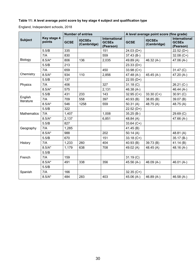### **Table 11: A level average point score by key stage 4 subject and qualification type**

|                       |                       |             | <b>Number of entries</b>     |                                                   |              | A level average point score (fine grade) |                                                   |  |
|-----------------------|-----------------------|-------------|------------------------------|---------------------------------------------------|--------------|------------------------------------------|---------------------------------------------------|--|
| <b>Subject</b>        | Key stage 4<br>points | <b>GCSE</b> | <b>IGCSEs</b><br>(Cambridge) | <b>International</b><br><b>GCSEs</b><br>(Pearson) | <b>GCSE</b>  | <b>IGCSEs</b><br>(Cambridge)             | <b>International</b><br><b>GCSEs</b><br>(Pearson) |  |
|                       | 5.5/B                 | 335         |                              | 151                                               | $24.03(D+)$  |                                          | $22.52(D+)$                                       |  |
|                       | 7/A                   | 830         |                              | 559                                               | $37.43(B-)$  |                                          | $32.08 (C+)$                                      |  |
| Biology               | $8.5/A*$              | 806         | 136                          | 2,035                                             | 49.89(A)     | 46.32 $(A-)$                             | 47.06 (A-)                                        |  |
|                       | 5.5/B                 | 213         |                              |                                                   | $23.33(D+)$  |                                          |                                                   |  |
|                       | 7/A                   | 659         |                              | 450                                               | $33.98 (C+)$ |                                          | 31.47 (C)                                         |  |
| Chemistry             | $8.5/A*$              | 934         | 110                          | 2,856                                             | 47.48 (A-)   | $45.45(A-)$                              | 47.20 (A-)                                        |  |
|                       | 5.5/B                 | 137         |                              |                                                   | $22.55(D+)$  |                                          |                                                   |  |
| Physics               | 7/A                   | 406         |                              | 327                                               | 31.18 (C)    |                                          | $26.21 (C-)$                                      |  |
|                       | $8.5/A*$              | 575         |                              | 2,131                                             | 46.38 (A-)   |                                          | 46.44 (A-)                                        |  |
|                       | 5.5/B                 | 431         | 233                          | 143                                               | $32.95 (C+)$ | 33.30 $(C+)$                             | 30.91 (C)                                         |  |
| English<br>literature | 7/A                   | 709         | 558                          | 397                                               | 40.93 (B)    | 38.85 (B)                                | 39.07 (B)                                         |  |
|                       | $8.5/A*$              | 546         | 1258                         | 559                                               | 50.31(A)     | 48.75(A)                                 | 48.75(A)                                          |  |
|                       | 5.5/B                 | 322         |                              |                                                   | $22.52(D+)$  |                                          |                                                   |  |
| <b>Mathematics</b>    | 7/A                   | 1,407       |                              | 1,008                                             | $35.25(B-)$  |                                          | 29.69(C)                                          |  |
|                       | $8.5/A*$              | 2,137       |                              | 6,851                                             | 48.84 (A)    |                                          | 47.66 (A-)                                        |  |
|                       | 5.5/B                 | 827         |                              |                                                   | $33.64 (C+)$ |                                          |                                                   |  |
| Geography             | 7/A                   | 1,285       |                              |                                                   | 41.45(B)     |                                          |                                                   |  |
|                       | $8.5/A*$              | 988         |                              | 202                                               | 50.14 $(A)$  |                                          | 48.81(A)                                          |  |
|                       | 5.5/B                 | 670         |                              | 151                                               | $33.18 (C+)$ |                                          | $35.17(B-)$                                       |  |
| History               | 7/A                   | 1,233       | 260                          | 404                                               | 40.93 (B)    | 39.73 (B)                                | 41.14(B)                                          |  |
|                       | $8.5/A*$              | 1,179       | 638                          | 708                                               | 49.02(A)     | 48.45(A)                                 | 48.16 (A-)                                        |  |
|                       | 5.5/B                 |             |                              |                                                   |              |                                          |                                                   |  |
| French                | 7/A                   | 159         |                              |                                                   | 31.19 (C)    |                                          |                                                   |  |
|                       | $8.5/A*$              | 491         | 338                          | 356                                               | 45.56 (A-)   | 46.09 $(A-)$                             | 46.01 $(A-)$                                      |  |
|                       | 5.5/B                 |             |                              |                                                   |              |                                          |                                                   |  |
| Spanish               | 7/A                   | 166         |                              |                                                   | $32.35 (C+)$ |                                          |                                                   |  |
|                       | $8.5/A*$              | 484         | 283                          | 403                                               | 45.06 (A-)   | 46.89 (A-)                               | 46.58 $(A-)$                                      |  |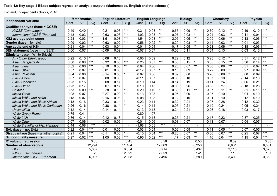#### **Table 12: Key stage 4 EBacc subject regression analysis outputs (Mathematics, English and the sciences)**

|                                               |         | <b>Mathematics</b> |        | <b>English Literature</b> |                   |                 | <b>English Language</b> |           |        | <b>Biology</b> |                   |                   | <b>Chemistry</b> |                   |         | <b>Physics</b> |      |        |
|-----------------------------------------------|---------|--------------------|--------|---------------------------|-------------------|-----------------|-------------------------|-----------|--------|----------------|-------------------|-------------------|------------------|-------------------|---------|----------------|------|--------|
| <b>Independent Variable</b>                   | Coef.   | <b>SE</b>          | Sig.   | Coef.                     | <b>SE</b>         | Sig.            | Coef.                   | <b>SE</b> | Sig.   | Coef.          | <b>SE</b>         | Sig.              | Coef.            | <b>SE</b>         | Sig.    | Coef.          | SE   | Sig.   |
| <b>Qualification type (base = GCSE)</b>       |         |                    |        |                           |                   |                 |                         |           |        |                |                   |                   |                  |                   |         |                |      |        |
| IGCSE (Cambridge)                             | $-0.49$ | 0.40               |        | 0.21                      | 0.03              | $***$           | 0.31                    | 0.03      | $***$  | $-0.66$        | 0.09              | $***$             | $-0.70$          | 0.12              | $***$   | $-0.49$        | 0.10 | $***$  |
| International GCSE (Pearson)                  | 0.48    | 0.03               | $***$  | 0.63                      | 0.03              | $***$           | 1.03                    | 0.03      | $***$  | $-0.07$        | 0.03              |                   | $-0.24$          | 0.03              | $***$   | $-0.11$        | 0.04 | $***$  |
| <b>KS2 average point score</b>                | 2.23    | 0.03               | $***$  | 1.51                      | 0.03              | $***$           | 1.54                    | 0.03      | $***$  | 2.06           | 0.05              | $***$             | 2.09             | 0.06              | $***$   | 2.13           | 0.06 | $***$  |
| <b>Gender</b> (base = female)                 | 0.09    | 0.02               | $***$  | $-0.63$                   | $\overline{0.02}$ | $***$           | $-0.56$                 | 0.02      | $***$  | $-0.29$        | 0.03              | $\star\star\star$ | $-0.14$          | 0.03              | $***$   | 0.01           | 0.03 |        |
| Age at the end of KS4                         | $-0.21$ | 0.04               | $***$  | 0.03                      | 0.04              |                 | $-0.01$                 | 0.04      |        | $-0.17$        | 0.05              | $^{\star\star}$   | $-0.21$          | 0.06              | $***$   | $-0.18$        | 0.06 | $*$    |
| <b>SEN statement</b> (base = no SEN)          | 0.00    | 0.07               |        | $-0.09$                   | 0.09              |                 | $-0.07$                 | 0.07      |        | $-0.08$        | 0.11              |                   | $-0.04$          | 0.13              |         | $-0.03$        | 0.16 |        |
| <b>Ethnicity</b> (base = White British)       |         |                    |        |                           |                   |                 |                         |           |        |                |                   |                   |                  |                   |         |                |      |        |
| Any Other Ethnic group                        | 0.22    | 0.10               |        | 0.08                      | 0.10              |                 | 0.05                    | 0.09      |        | 0.22           | 0.12              |                   | 0.28             | 0.12              |         | 0.31           | 0.12 | $***$  |
| Asian Bangladeshi                             | 0.30    | 0.08               | $***$  | 0.32                      | 0.08              | $***$           | 0.25                    | 0.07      | $***$  | 0.30           | 0.15              |                   | 0.55             | 0.15              | $***$   | 0.36           | 0.14 | $***$  |
| Asian Indian                                  | 0.32    | 0.06               | $***$  | 0.19                      | 0.06              | $^{\star\star}$ | 0.04                    | 0.06      |        | 0.26           | 0.07              | $***$             | 0.30             | 0.08              | $***$   | 0.31           | 0.07 | $***$  |
| <b>Asian Other</b>                            | 0.37    | 0.07               | $***$  | 0.01                      | 0.08              |                 | $-0.17$                 | 0.07      |        | 0.16           | 0.09              |                   | 0.22             | 0.09              |         | 0.27           | 0.09 | $***$  |
| Asian Pakistani                               | 0.04    | 0.06               |        | 0.14                      | 0.06              |                 | 0.07                    | 0.06      |        | 0.09           | 0.08              |                   | 0.20             | 0.09              |         | 0.00           | 0.09 |        |
| <b>Black African</b>                          | 0.07    | 0.07               |        | 0.08                      | 0.08              |                 | $-0.11$                 | 0.07      |        | $-0.03$        | 0.10              |                   | 0.07             | 0.10              |         | $-0.14$        | 0.10 |        |
| <b>Black Caribbean</b>                        | $-0.23$ | 0.15               |        | 0.08                      | 0.17              |                 | $-0.19$                 | 0.14      |        | $-0.14$        | 0.19              |                   | $-0.11$          | 0.24              |         | $-0.06$        | 0.21 |        |
| <b>Black Other</b>                            | $-0.23$ | 0.17               |        | 0.07                      | 0.17              |                 | 0.10                    | 0.15      |        | $-0.08$        | 0.26              |                   | $-0.08$          | $\overline{0.27}$ |         | $-0.18$        | 0.23 |        |
| Chinese                                       | 0.53    | 0.09               | $***$  | 0.28                      | 0.10              | $***$           | 0.20                    | 0.10      | $\ast$ | 0.38           | 0.11              | $***$             | 0.37             | 0.11              | $***$   | 0.31           | 0.11 | $***$  |
| <b>Mixed Other</b>                            | 0.08    | 0.07               |        | 0.27                      | 0.09              | $***$           | 0.13                    | 0.08      |        | 0.05           | 0.09              |                   | 0.05             | 0.10              |         | 0.04           | 0.10 |        |
| <b>Mixed White and Asian</b>                  | 0.18    | 0.07               |        | 0.16                      | 0.08              |                 | 0.08                    | 0.08      |        | 0.12           | 0.10              |                   | 0.01             | 0.10              |         | 0.12           | 0.10 |        |
| Mixed White and Black African                 | $-0.18$ | 0.16               |        | 0.33                      | 0.14              | $\star$         | 0.23                    | 0.14      |        | 0.32           | 0.21              |                   | 0.07             | 0.28              |         | $-0.12$        | 0.32 |        |
| Mixed White and Black Caribbean               | $-0.26$ | 0.16               |        | $-0.38$                   | 0.14              | $**$            | $-0.14$                 | 0.14      |        | $-0.05$        | 0.21              |                   | 0.19             | 0.24              |         | $-0.05$        | 0.24 |        |
| <b>Unclassified</b>                           | 0.12    | 0.14               |        | 0.14                      | 0.14              |                 | 0.13                    | 0.13      |        | $-0.24$        | $\overline{0.21}$ |                   | $-0.26$          | 0.18              |         | 0.03           | 0.17 |        |
| White Gypsy Roma                              | $-0.75$ | 0.41               |        |                           |                   | $\sim$          | $-0.80$                 | 1.07      |        |                |                   |                   |                  |                   |         |                |      | $\sim$ |
| <b>White Irish</b>                            | $-0.36$ | 0.14               | $***$  | $-0.12$                   | 0.13              |                 | $-0.15$                 | 0.13      |        | $-0.25$        | 0.21              |                   | $-0.17$          | 0.23              |         | $-0.37$        | 0.25 |        |
| <b>White Other</b>                            | $-0.07$ | 0.06               |        | $-0.02$                   | 0.06              |                 | $-0.01$                 | 0.06      |        | $-0.08$        | 0.07              |                   | $-0.11$          | 0.07              |         | $-0.04$        | 0.07 |        |
| White Traveller of Irish Heritage             | $-2.44$ | 0.08               | $***$  |                           |                   |                 | $-1.68$                 | 0.08      | $***$  |                |                   |                   |                  |                   |         |                |      |        |
| <b>EAL</b> (base = not $EAL$ )                | 0.22    | 0.04               | $***$  | 0.01                      | 0.05              |                 | 0.03                    | 0.04      |        | 0.06           | 0.05              |                   | 0.11             | 0.05              | $\star$ | 0.07           | 0.05 |        |
| <b>Disadvantage</b> (base = all other pupils) | $-0.21$ | 0.04               | $***$  | $-0.11$                   | 0.05              | $\star$         | $-0.15$                 | 0.04      | $***$  | $-0.23$        | 0.07              | $\star\star\star$ | $-0.30$          | 0.07              | $***$   | $-0.25$        | 0.07 | $***$  |
| <b>School quality measure</b>                 | 0.97    | $\overline{0.02}$  | $***$  | 1.05                      | 0.03              | $***$           | 0.95                    | 0.02      | $***$  | 1.17           | 0.03              | $***$             | 1.16             | 0.04              | $***$   | 1.15           | 0.04 | $***$  |
| $R2$ value of regression                      |         |                    | 0.65   |                           |                   | 0.45            |                         |           | 0.56   |                |                   | 0.50              |                  |                   | 0.39    |                |      | 0.38   |
| <b>Number of observations</b>                 |         |                    | 12,294 |                           |                   | 11,184          |                         |           | 12,069 |                |                   | 6,958             |                  |                   | 6,631   |                |      | 6,551  |
| <b>GCSE</b>                                   |         |                    | 5,367  |                           |                   | 6,054           |                         |           | 6,914  |                |                   | 3,437             |                  |                   | 3,115   |                |      | 3,026  |
| IGCSE (Cambridge)                             |         |                    | 20     |                           |                   | 2,822           |                         |           | 2,659  |                |                   | 241               |                  |                   | 113     |                |      | 167    |
| International GCSE (Pearson)                  |         |                    | 6,907  |                           |                   | 2,308           |                         |           | 2,496  |                |                   | 3,280             |                  |                   | 3,403   |                |      | 3,358  |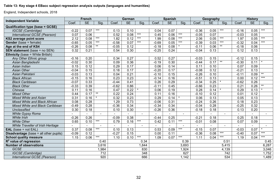#### **Table 13: Key stage 4 EBacc subject regression analysis outputs (languages and humanities)**

|                                               |         | <b>French</b> |                 |         | German    |                       |         | <b>Spanish</b> |       |         | Geography |                       | <b>History</b> |           |         |
|-----------------------------------------------|---------|---------------|-----------------|---------|-----------|-----------------------|---------|----------------|-------|---------|-----------|-----------------------|----------------|-----------|---------|
| <b>Independent Variable</b>                   | Coef.   | <b>SE</b>     | Sig.            | Coef.   | <b>SE</b> | Sig.                  | Coef.   | <b>SE</b>      | Sig.  | Coef.   | <b>SE</b> | Sig.                  | Coef.          | <b>SE</b> | Sig.    |
| <b>Qualification type (base = GCSE)</b>       |         |               |                 |         |           |                       |         |                |       |         |           |                       |                |           |         |
| IGCSE (Cambridge)                             | $-0.22$ | 0.07          | $***$           | 0.13    | 0.10      |                       | 0.04    | 0.07           |       | $-0.36$ | 0.05      | $***$                 | $-0.16$        | 0.05      | $***$   |
| International GCSE (Pearson)                  | 0.07    | 0.06          |                 | 0.52    | 0.08      | $***$                 | 0.45    | 0.06           | $***$ | $-0.05$ | 0.07      |                       | $-0.03$        | 0.05      |         |
| KS2 average point score                       | 2.12    | 0.08          | $***$           | 1.82    | 0.12      | $***$                 | 1.99    | 0.08           | $***$ | 2.06    | 0.05      | $***$                 | 1.97           | 0.05      | $***$   |
| <b>Gender</b> (base = female)                 | $-0.65$ | 0.05          | $***$           | $-0.58$ | 0.07      | $***$                 | $-0.69$ | 0.05           | $***$ | $-0.39$ | 0.03      | $\star\!\star\!\star$ | $-0.32$        | 0.04      | $***$   |
| Age at the end of KS4                         | $-0.26$ | 0.08          | $^{\star\star}$ | $-0.05$ | 0.12      |                       | $-0.18$ | 0.08           |       | $-0.11$ | 0.06      | $^{\star\star}$       | $-0.18$        | 0.06      |         |
| <b>SEN statement</b> (base = no SEN)          | 0.32    | 0.21          |                 | 0.54    | 0.30      |                       | $-0.25$ | 0.24           |       | $-0.04$ | 0.13      |                       | 0.12           | 0.13      |         |
| <b>Ethnicity</b> (base = White British)       |         |               |                 |         |           |                       |         |                |       |         |           |                       |                |           |         |
| Any Other Ethnic group                        | $-0.16$ | 0.20          |                 | 0.34    | 0.27      |                       | 0.52    | 0.27           |       | $-0.03$ | 0.15      |                       | $-0.12$        | 0.15      |         |
| Asian Bangladeshi                             | $-0.02$ | 0.30          |                 | 0.09    | 0.36      |                       | $-0.19$ | 0.30           |       | $-0.44$ | 0.17      | $^{\star\star}$       | $-0.30$        | 0.11      |         |
| Asian Indian                                  | 0.15    | 0.12          |                 | 0.29    | 0.17      |                       | 0.06    | 0.14           |       | 0.11    | 0.10      |                       | 0.07           | 0.09      |         |
| <b>Asian Other</b>                            | $-0.04$ | 0.15          |                 | 0.18    | 0.17      |                       | $-0.20$ | 0.17           |       | $-0.08$ | 0.12      |                       | $-0.21$        | 0.13      |         |
| Asian Pakistani                               | $-0.03$ | 0.13          |                 | 0.04    | 0.21      |                       | $-0.10$ | 0.15           |       | $-0.26$ | 0.10      |                       | $-0.11$        | 0.09      | $***$   |
| <b>Black African</b>                          | $-0.15$ | 0.16          |                 | 0.23    | 0.23      |                       | $-0.14$ | 0.16           |       | $-0.51$ | 0.13      |                       | 0.00           | 0.12      | $***$   |
| <b>Black Caribbean</b>                        | $-0.07$ | 0.33          |                 | $-0.44$ | 0.41      |                       | 0.26    | 0.29           |       | $-0.34$ | 0.25      |                       | $-0.62$        | 0.26      |         |
| <b>Black Other</b>                            | $-0.33$ | 0.39          |                 | $-0.62$ | 0.86      |                       | $-0.11$ | 0.45           |       | $-0.66$ | 0.23      |                       | 0.21           | 0.26      | $***$   |
| Chinese                                       | 0.11    | 0.16          |                 | 0.47    | 0.22      | $\star$               | 0.06    | 0.19           |       | 0.28    | 0.14      |                       | 0.29           | 0.13      |         |
| <b>Mixed Other</b>                            | 0.44    | 0.17          | $\star\star$    | 0.22    | 0.24      |                       | 0.11    | 0.16           |       | $-0.10$ | 0.12      |                       | 0.01           | 0.12      |         |
| <b>Mixed White and Asian</b>                  | 0.31    | 0.16          | $\star$         | 0.32    | 0.23      |                       | 0.29    | 0.14           |       | 0.06    | 0.13      |                       | 0.05           | 0.13      |         |
| Mixed White and Black African                 | 0.08    | 0.28          |                 | 1.29    | 0.73      |                       | $-0.06$ | 0.31           |       | $-0.24$ | 0.26      |                       | 0.18           | 0.23      |         |
| Mixed White and Black Caribbean               | $-0.49$ | 0.28          |                 | $-0.36$ | 0.34      |                       | $-0.34$ | 0.34           |       | $-0.04$ | 0.28      |                       | $-0.25$        | 0.32      |         |
| <b>Unclassified</b>                           | 0.30    | 0.18          |                 | 0.10    | 0.30      |                       | $-0.26$ | 0.36           |       | $-0.18$ | 0.18      |                       | 0.13           | 0.20      |         |
| White Gypsy Roma                              |         |               |                 |         |           |                       |         |                |       |         |           |                       |                |           |         |
| <b>White Irish</b>                            | $-0.26$ | 0.26          |                 | $-0.09$ | 0.38      |                       | $-0.44$ | 0.25           |       | $-0.21$ | 0.18      |                       | 0.25           | 0.18      |         |
| <b>White Other</b>                            | 0.65    | 0.10          | $***$           | 0.79    | 0.16      | $\star\!\star\!\star$ | 0.42    | 0.11           | $***$ | $-0.01$ | 0.08      |                       | 0.07           | 0.09      |         |
| White Traveller of Irish Heritage             |         |               |                 |         |           |                       |         |                |       |         |           | $\blacksquare$        |                |           |         |
| <b>EAL</b> (base = not $EAL$ )                | 0.37    | 0.08          | $***$           | 0.10    | 0.13      |                       | 0.53    | 0.09           | $***$ | $-0.15$ | 0.07      |                       | $-0.03$        | 0.07      | $\star$ |
| <b>Disadvantage</b> (base = all other pupils) | $-0.09$ | 0.12          |                 | $-0.27$ | 0.15      |                       | 0.00    | 0.11           |       | $-0.36$ | 0.08      | $***$                 | $-0.40$        | 0.07      | $***$   |
| <b>School quality measure</b>                 | 1.15    | 0.06          | $***$           | 1.10    | 0.10      | $***$                 | 1.09    | 0.07           | $***$ | 1.11    | 0.04      | ***                   | 1.19           | 0.04      | $***$   |
| $R2$ value of regression                      |         |               | 0.40            |         |           | 0.34                  |         |                | 0.39  |         |           | 0.51                  |                |           | 0.45    |
| <b>Number of observations</b>                 |         |               | 3,616           |         |           | 1,844                 |         |                | 3,693 |         |           | 5,415                 |                |           | 6,287   |
| GCSE                                          |         |               | 1,984           |         |           | 830                   |         |                | 1,924 |         |           | 4,139                 |                |           | 3,046   |
| IGCSE (Cambridge)                             |         |               | 712             |         |           | 348                   |         |                | 627   |         |           | 742                   |                |           | 1,752   |
| International GCSE (Pearson)                  |         |               | 920             |         |           | 666                   |         |                | 1,142 |         |           | 534                   |                |           | 1,489   |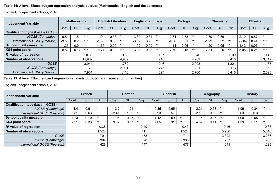#### **Table 14: A level EBacc subject regression analysis outputs (Mathematics, English and the sciences)**

England, Independent schools, 2018

| <b>Independent Variable</b>             | <b>Mathematics</b> |           |       | <b>English Literature</b> |           |       | <b>English Language</b> |           |       |         | <b>Biology</b> |       | <b>Chemistry</b> |           |       | <b>Physics</b> |           |       |  |
|-----------------------------------------|--------------------|-----------|-------|---------------------------|-----------|-------|-------------------------|-----------|-------|---------|----------------|-------|------------------|-----------|-------|----------------|-----------|-------|--|
|                                         | Coef.              | <b>SE</b> | Sig.  | Coef.                     | <b>SE</b> | Sig.  | Coef.                   | <b>SE</b> | Sig.  | Coef.   | <b>SE</b>      | Sig.  | Coef             | <b>SE</b> | Sig.  | Coef           | <b>SE</b> | Sig.  |  |
| <b>Qualification type (base = GCSE)</b> |                    |           |       |                           |           |       |                         |           |       |         |                |       |                  |           |       |                |           |       |  |
| IGCSE (Cambridge)                       | 6.84               | 1.51      | $***$ | $-1.94$                   | 0.33      | $***$ | $-3.39$                 | 0.84      | $***$ | $-2.64$ | 0.78           | $***$ | $-0.39$          | 0.86      |       | 2.10           | 0.87      |       |  |
| International GCSE (Pearson)            | $-3.58$            | 0.23      | $***$ | $-1.53$                   | 0.38      | $***$ | $-3.52$                 | 0.90      | $***$ | $-4.36$ | 0.31           | $***$ | $-1.99$          | 0.32      | $***$ | $-2.84$        | 0.44      | $***$ |  |
| <b>School quality measure</b>           | .26                | 0.04      | $***$ | .35                       | 0.05      | $***$ | .09                     | 0.09      | $***$ | .14     | 0.06           | $***$ | .20              | 0.05      | $***$ | 1.42           | 0.07      | $***$ |  |
| <b>KS4 point score</b>                  | 8.52               | 0.17      | $***$ | 4.71                      | 0.12      | $***$ | 3.93                    | 0.28      | $***$ | 7.79    | 0.15           | $***$ | 7.34             | 0.20      | $***$ | 8.05           | 0.26      | $***$ |  |
| $R2$ value of regression                |                    |           | 0.35  | 0.38                      |           |       | 0.37                    |           |       | 0.46    |                |       | 0.39             |           |       | 0.40           |           |       |  |
| <b>Number of observations</b>           | 11,962             |           |       | 4,969                     |           |       |                         | 718       |       |         | 4,989          |       |                  | 5,410     |       |                | 3,812     |       |  |
| <b>GCSE</b>                             | 3,941              |           |       |                           |           | .762  |                         |           | 246   | 2,008   |                |       | .821             |           |       | 1,135          |           |       |  |
| IGCSE (Cambridge)                       | 70                 |           |       | 2,091                     |           |       | 245                     |           |       | 221     |                |       | 173              |           |       | 152            |           |       |  |
| International GCSE (Pearson)            |                    |           | 7,951 | .116                      |           |       | 227                     |           |       | 2,760   |                |       | 3,416            |           |       | 2,525          |           |       |  |

#### **Table 15: A level EBacc subject regression analysis outputs (languages and humanities)**

| <b>Independent Variable</b>             | <b>French</b> |           |       | German  |           |       |         | <b>Spanish</b> |                 |         | Geography |       | <b>History</b> |           |       |
|-----------------------------------------|---------------|-----------|-------|---------|-----------|-------|---------|----------------|-----------------|---------|-----------|-------|----------------|-----------|-------|
|                                         | Coef.         | <b>SE</b> | Sig.  | Coef    | <b>SE</b> | Sig.  | Coef.   | <b>SE</b>      | Sig.            | Coef.   | <b>SE</b> | Sig.  | Coef.          | <b>SE</b> | Sig.  |
| <b>Qualification type (base = GCSE)</b> |               |           |       |         |           |       |         |                |                 |         |           |       |                |           |       |
| IGCSE (Cambridge)                       | $-1.4$        | 0.61      |       | $-2.2$  | . 24      |       | $-0.85$ | 0.65           |                 | $-2.21$ | 0.63      | $***$ | $-1.99$        | 0.34      | $***$ |
| International GCSE (Pearson)            | $-0.81$       | 0.63      |       | $-2.41$ | 1.09      |       | $-0.93$ | 0.57           |                 | $-2.18$ | 0.53      | $***$ | $-0.63$        | 0.3       |       |
| <b>School quality measure</b>           | .23           | 0.10      | $***$ | 0.06    | 0.17      | $***$ | 1.42    | 0.09           | $***$           | 1.15    | 0.05      | $***$ | 1.09           | 0.05      | $***$ |
| <b>KS4 point score</b>                  | 7.21          | 0.33      | $***$ | 9.02    | 0.57      | $***$ | 7.05    | 0.31           | $***$           | 4.87    | 0.11      | $***$ | 4.39           | 0.11      | $***$ |
| $R2$ value of regression                |               |           | 0.38  |         |           | 0.49  |         |                | 0.43            |         |           | 0.46  |                |           | 0.38  |
| <b>Number of observations</b>           | 1,523         |           |       | 415     |           |       |         |                | 1,524           |         |           | 3,900 | 5,516          |           |       |
| <b>GCSE</b>                             | 701           |           |       |         |           | 178   |         |                | 71 <sup>′</sup> | 3,322   |           |       | 3,236          |           |       |
| IGCSE (Cambridge)                       | 394           |           |       | 90      |           |       | 336     |                |                 | 237     |           |       | 987            |           |       |
| International GCSE (Pearson)            |               |           | 428   |         |           | 147   |         |                | 477             |         |           | 341   | ,293           |           |       |